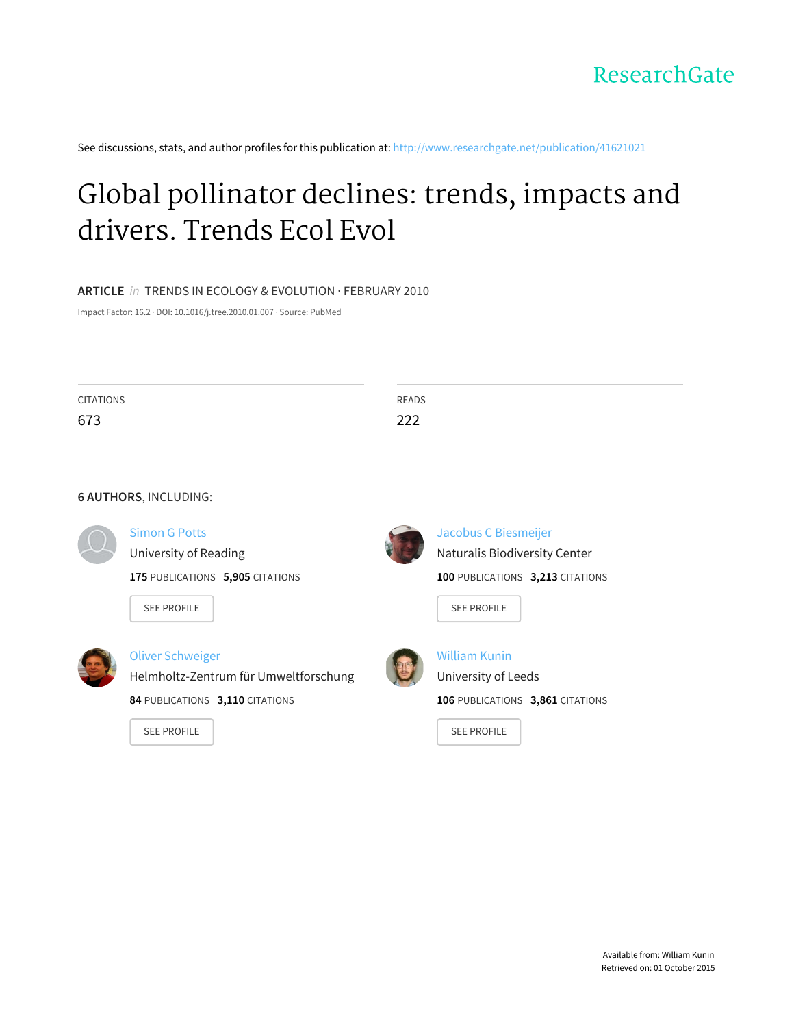See discussions, stats, and author profiles for this publication at: [http://www.researchgate.net/publication/41621021](http://www.researchgate.net/publication/41621021_Global_pollinator_declines_trends_impacts_and_drivers._Trends_Ecol_Evol?enrichId=rgreq-a74010ac-0360-4035-af4e-dba0c87e765e&enrichSource=Y292ZXJQYWdlOzQxNjIxMDIxO0FTOjEwNDUwNjQ5NDgxNjI1NkAxNDAxOTI3Njk4NTkw&el=1_x_2)

# Global [pollinator](http://www.researchgate.net/publication/41621021_Global_pollinator_declines_trends_impacts_and_drivers._Trends_Ecol_Evol?enrichId=rgreq-a74010ac-0360-4035-af4e-dba0c87e765e&enrichSource=Y292ZXJQYWdlOzQxNjIxMDIxO0FTOjEwNDUwNjQ5NDgxNjI1NkAxNDAxOTI3Njk4NTkw&el=1_x_3) declines: trends, impacts and drivers. Trends Ecol Evol

# **ARTICLE** in TRENDS IN ECOLOGY & EVOLUTION · FEBRUARY 2010

Impact Factor: 16.2 · DOI: 10.1016/j.tree.2010.01.007 · Source: PubMed

| <b>CITATIONS</b><br>673 |                                                                                                                           | <b>READS</b><br>222 |                                                                                                                 |
|-------------------------|---------------------------------------------------------------------------------------------------------------------------|---------------------|-----------------------------------------------------------------------------------------------------------------|
|                         | <b>6 AUTHORS, INCLUDING:</b>                                                                                              |                     |                                                                                                                 |
|                         | <b>Simon G Potts</b><br>University of Reading<br>175 PUBLICATIONS 5,905 CITATIONS<br><b>SEE PROFILE</b>                   |                     | Jacobus C Biesmeijer<br>Naturalis Biodiversity Center<br>100 PUBLICATIONS 3,213 CITATIONS<br><b>SEE PROFILE</b> |
|                         | <b>Oliver Schweiger</b><br>Helmholtz-Zentrum für Umweltforschung<br>84 PUBLICATIONS 3,110 CITATIONS<br><b>SEE PROFILE</b> |                     | <b>William Kunin</b><br>University of Leeds<br>106 PUBLICATIONS 3,861 CITATIONS<br><b>SEE PROFILE</b>           |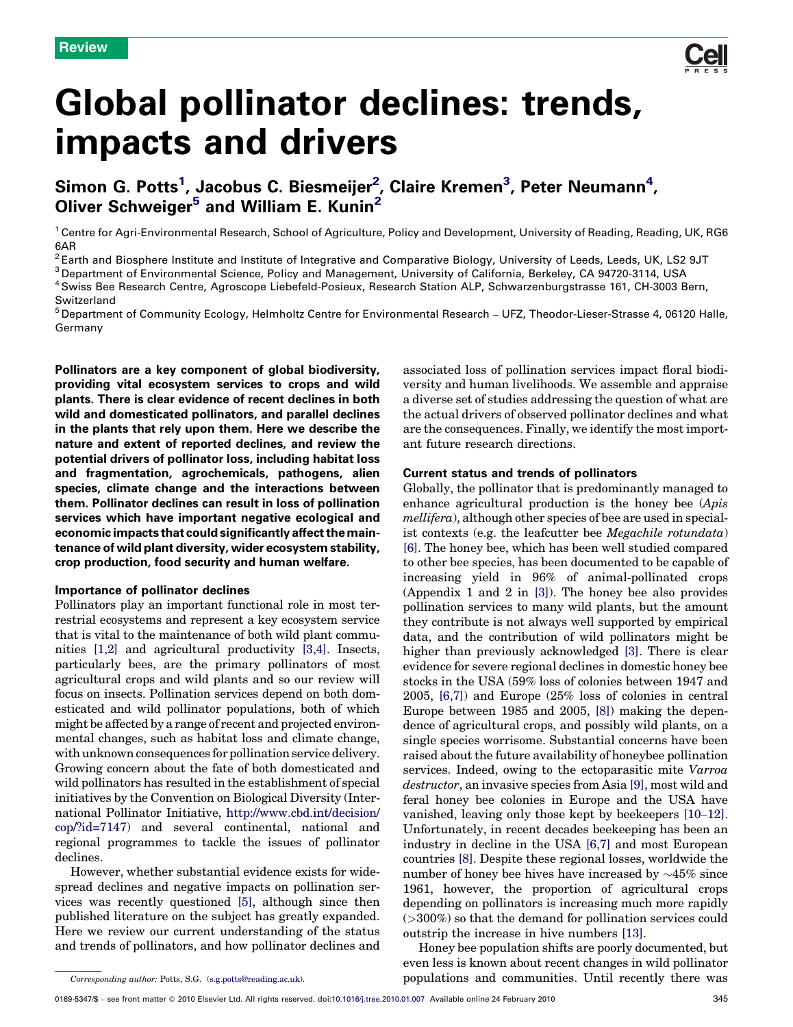Importance of pollinator declines

Pollinators are a key component of global biodiversity, providing vital ecosystem services to crops and wild plants. There is clear evidence of recent declines in both wild and domesticated pollinators, and parallel declines in the plants that rely upon them. Here we describe the nature and extent of reported declines, and review the potential drivers of pollinator loss, including habitat loss and fragmentation, agrochemicals, pathogens, alien species, climate change and the interactions between them. Pollinator declines can result in loss of pollination services which have important negative ecological and economic impacts that could significantly affect themaintenance of wild plant diversity, wider ecosystem stability, crop production, food security and human welfare.

Pollinators play an important functional role in most terrestrial ecosystems and represent a key ecosystem service that is vital to the maintenance of both wild plant communities [1,2] and agricultural productivity [3,4]. Insects, particularly bees, are the primary pollinators of most agricultural crops and wild plants and so our review will focus on insects. Pollination services depend on both domesticated and wild pollinator populations, both of which might be affected by a range of recent and projected environmental changes, such as habitat loss and climate change, with unknown consequences for pollination service delivery. Growing concern about the fate of both domesticated and wild pollinators has resulted in the establishment of special initiatives by the Convention on Biological Diversity (Inter-

associated loss of pollination services impact floral biodiversity and human livelihoods. We assemble and appraise a diverse set of studies addressing the question of what are the actual drivers of observed pollinator declines and what are the consequences. Finally, we identify the most important future research directions.

# Current status and trends of pollinators

Globally, the pollinator that is predominantly managed to enhance agricultural production is the honey bee (Apis mellifera), although other species of bee are used in specialist contexts (e.g. the leafcutter bee Megachile rotundata) [6]. The honey bee, which has been well studied compared to other bee species, has been documented to be capable of increasing yield in 96% of animal-pollinated crops (Appendix 1 and 2 in [3]). The honey bee also provides pollination services to many wild plants, but the amount they contribute is not always well supported by empirical data, and the contribution of wild pollinators might be higher than previously acknowledged [3]. There is clear evidence for severe regional declines in domestic honey bee stocks in the USA (59% loss of colonies between 1947 and 2005, [6,7]) and Europe (25% loss of colonies in central Europe between 1985 and 2005, [8]) making the dependence of agricultural crops, and possibly wild plants, on a single species worrisome. Substantial concerns have been raised about the future availability of honeybee pollination services. Indeed, owing to the ectoparasitic mite Varroa destructor, an invasive species from Asia [9], most wild and feral honey bee colonies in Europe and the USA have vanished, leaving only those kept by beekeepers [10–12]. Unfortunately, in recent decades beekeeping has been an industry in decline in the USA [6,7] and most European countries [8]. Despite these regional losses, worldwide the number of honey bee hives have increased by  $\sim$ 45% since 1961, however, the proportion of agricultural crops depending on pollinators is increasing much more rapidly (>300%) so that the demand for pollination services could outstrip the increase in hive numbers [13].

Honey bee population shifts are poorly documented, but even less is known about recent changes in wild pollinator populations and communities. Until recently there was

# Global pollinator declines: trends, impacts and drivers

Simon G. Potts<sup>1</sup>, Jacobus C. Biesmeijer<sup>2</sup>, Claire Kremen<sup>3</sup>, Peter Neumann<sup>4</sup>, Oliver Schweiger<sup>5</sup> and William E. Kunin<sup>2</sup>

<sup>1</sup> Centre for Agri-Environmental Research, School of Agriculture, Policy and Development, University of Reading, Reading, UK, RG6 6AR

<sup>2</sup> Earth and Biosphere Institute and Institute of Integrative and Comparative Biology, University of Leeds, Leeds, UK, LS2 9JT

<sup>3</sup> Department of Environmental Science, Policy and Management, University of California, Berkeley, CA 94720-3114, USA

<sup>4</sup>Swiss Bee Research Centre, Agroscope Liebefeld-Posieux, Research Station ALP, Schwarzenburgstrasse 161, CH-3003 Bern,

<sup>5</sup> Department of Community Ecology, Helmholtz Centre for Environmental Research – UFZ, Theodor-Lieser-Strasse 4, 06120 Halle, Germany

national Pollinator Initiative, [http://www.cbd.int/decision/](http://www.cbd.int/decision/cop/?id=7147) [cop/?id=7147\)](http://www.cbd.int/decision/cop/?id=7147) and several continental, national and regional programmes to tackle the issues of pollinator declines. However, whether substantial evidence exists for widespread declines and negative impacts on pollination services was recently questioned [5], although since then published literature on the subject has greatly expanded. Here we review our current understanding of the status and trends of pollinators, and how pollinator declines and

Switzerland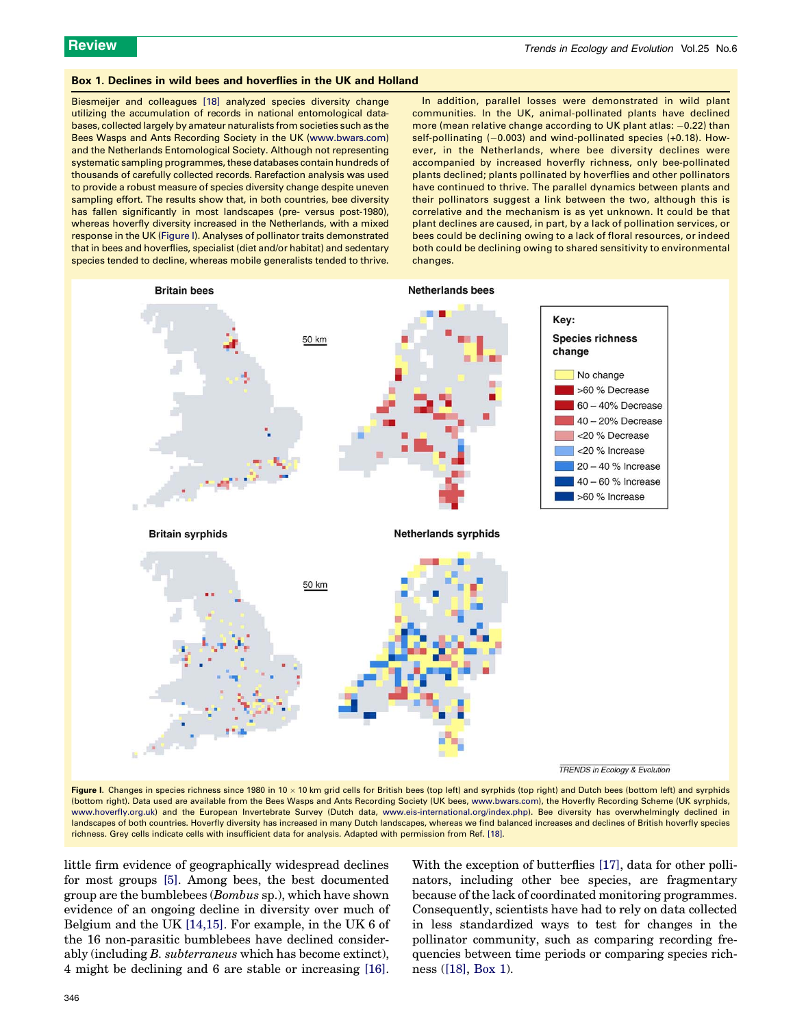## Box 1. Declines in wild bees and hoverflies in the UK and Holland

Biesmeijer and colleagues [18] analyzed species diversity change utilizing the accumulation of records in national entomological databases, collected largely by amateur naturalists from societies such as the Bees Wasps and Ants Recording Society in the UK [\(www.bwars.com](http://www.bwars.com/)) and the Netherlands Entomological Society. Although not representing systematic sampling programmes, these databases contain hundreds of thousands of carefully collected records. Rarefaction analysis was used to provide a robust measure of species diversity change despite uneven sampling effort. The results show that, in both countries, bee diversity has fallen significantly in most landscapes (pre- versus post-1980), whereas hoverfly diversity increased in the Netherlands, with a mixed response in the UK (Figure I). Analyses of pollinator traits demonstrated that in bees and hoverflies, specialist (diet and/or habitat) and sedentary species tended to decline, whereas mobile generalists tended to thrive.

In addition, parallel losses were demonstrated in wild plant communities. In the UK, animal-pollinated plants have declined more (mean relative change according to UK plant atlas:  $-0.22$ ) than self-pollinating  $(-0.003)$  and wind-pollinated species  $(+0.18)$ . However, in the Netherlands, where bee diversity declines were accompanied by increased hoverfly richness, only bee-pollinated plants declined; plants pollinated by hoverflies and other pollinators have continued to thrive. The parallel dynamics between plants and their pollinators suggest a link between the two, although this is correlative and the mechanism is as yet unknown. It could be that plant declines are caused, in part, by a lack of pollination services, or bees could be declining owing to a lack of floral resources, or indeed both could be declining owing to shared sensitivity to environmental changes.



Figure I. Changes in species richness since 1980 in 10  $\times$  10 km grid cells for British bees (top left) and syrphids (top right) and Dutch bees (bottom left) and syrphids (bottom right). Data used are available from the Bees Wasps and Ants Recording Society (UK bees, [www.bwars.com](http://www.bwars.com/)), the Hoverfly Recording Scheme (UK syrphids, [www.hoverfly.org.uk\)](http://www.hoverfly.org.uk/) and the European Invertebrate Survey (Dutch data, [www.eis-international.org/index.php](http://www.eis-international.org/index.php)). Bee diversity has overwhelmingly declined in landscapes of both countries. Hoverfly diversity has increased in many Dutch landscapes, whereas we find balanced increases and declines of British hoverfly species richness. Grey cells indicate cells with insufficient data for analysis. Adapted with permission from Ref. [18].

little firm evidence of geographically widespread declines for most groups [5]. Among bees, the best documented group are the bumblebees (Bombus sp.), which have shown evidence of an ongoing decline in diversity over much of Belgium and the UK [14,15]. For example, in the UK 6 of the 16 non-parasitic bumblebees have declined considerably (including B. subterraneus which has become extinct), 4 might be declining and 6 are stable or increasing [16].

With the exception of butterflies [17], data for other pollinators, including other bee species, are fragmentary because of the lack of coordinated monitoring programmes. Consequently, scientists have had to rely on data collected in less standardized ways to test for changes in the pollinator community, such as comparing recording frequencies between time periods or comparing species richness ([18], Box 1).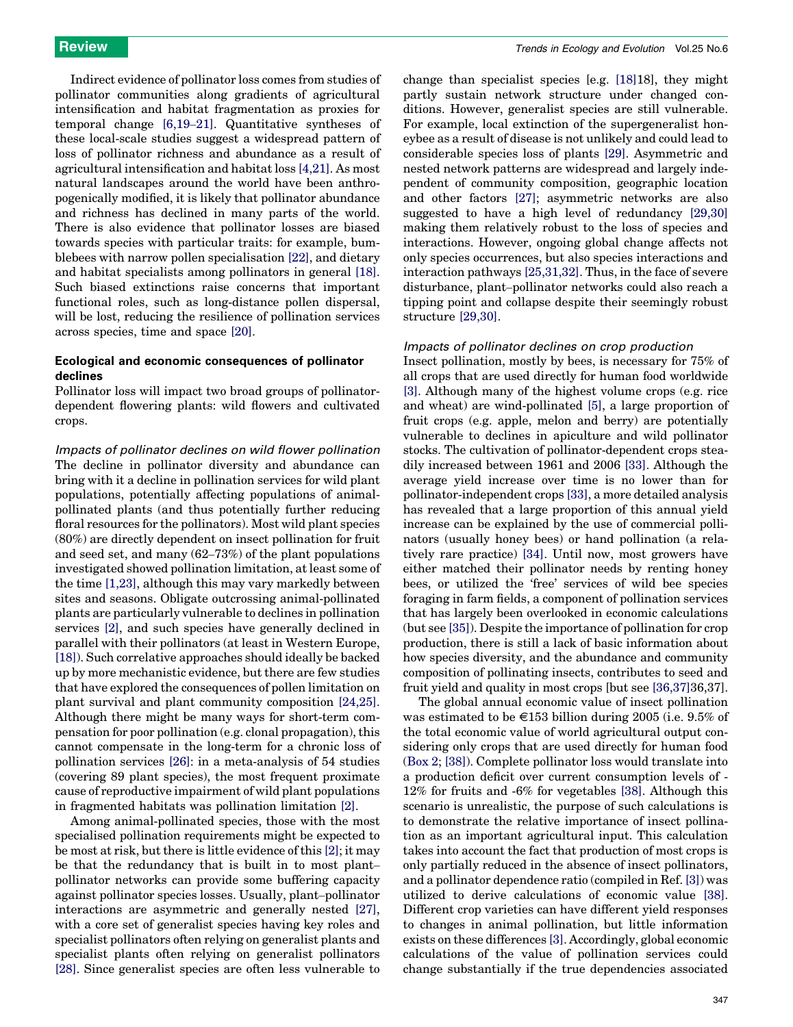Indirect evidence of pollinator loss comes from studies of pollinator communities along gradients of agricultural intensification and habitat fragmentation as proxies for temporal change [6,19–21]. Quantitative syntheses of these local-scale studies suggest a widespread pattern of loss of pollinator richness and abundance as a result of agricultural intensification and habitat loss [4,21]. As most natural landscapes around the world have been anthropogenically modified, it is likely that pollinator abundance and richness has declined in many parts of the world. There is also evidence that pollinator losses are biased towards species with particular traits: for example, bumblebees with narrow pollen specialisation [22], and dietary and habitat specialists among pollinators in general [18]. Such biased extinctions raise concerns that important functional roles, such as long-distance pollen dispersal, will be lost, reducing the resilience of pollination services across species, time and space [20].

# Ecological and economic consequences of pollinator declines

Pollinator loss will impact two broad groups of pollinatordependent flowering plants: wild flowers and cultivated crops.

Impacts of pollinator declines on wild flower pollination The decline in pollinator diversity and abundance can bring with it a decline in pollination services for wild plant populations, potentially affecting populations of animalpollinated plants (and thus potentially further reducing floral resources for the pollinators). Most wild plant species (80%) are directly dependent on insect pollination for fruit and seed set, and many (62–73%) of the plant populations investigated showed pollination limitation, at least some of the time [1,23], although this may vary markedly between sites and seasons. Obligate outcrossing animal-pollinated plants are particularly vulnerable to declines in pollination services [2], and such species have generally declined in parallel with their pollinators (at least in Western Europe, [18]). Such correlative approaches should ideally be backed up by more mechanistic evidence, but there are few studies that have explored the consequences of pollen limitation on plant survival and plant community composition [24,25]. Although there might be many ways for short-term compensation for poor pollination (e.g. clonal propagation), this cannot compensate in the long-term for a chronic loss of pollination services [26]: in a meta-analysis of 54 studies (covering 89 plant species), the most frequent proximate cause of reproductive impairment of wild plant populations in fragmented habitats was pollination limitation [2].

Among animal-pollinated species, those with the most specialised pollination requirements might be expected to be most at risk, but there is little evidence of this [2]; it may be that the redundancy that is built in to most plant– pollinator networks can provide some buffering capacity against pollinator species losses. Usually, plant–pollinator interactions are asymmetric and generally nested [27], with a core set of generalist species having key roles and specialist pollinators often relying on generalist plants and specialist plants often relying on generalist pollinators [28]. Since generalist species are often less vulnerable to change than specialist species [e.g. [18]18], they might partly sustain network structure under changed conditions. However, generalist species are still vulnerable. For example, local extinction of the supergeneralist honeybee as a result of disease is not unlikely and could lead to considerable species loss of plants [29]. Asymmetric and nested network patterns are widespread and largely independent of community composition, geographic location and other factors [27]; asymmetric networks are also suggested to have a high level of redundancy [29,30] making them relatively robust to the loss of species and interactions. However, ongoing global change affects not only species occurrences, but also species interactions and interaction pathways [25,31,32]. Thus, in the face of severe disturbance, plant–pollinator networks could also reach a tipping point and collapse despite their seemingly robust structure [29,30].

## Impacts of pollinator declines on crop production

Insect pollination, mostly by bees, is necessary for 75% of all crops that are used directly for human food worldwide [3]. Although many of the highest volume crops (e.g. rice and wheat) are wind-pollinated [5], a large proportion of fruit crops (e.g. apple, melon and berry) are potentially vulnerable to declines in apiculture and wild pollinator stocks. The cultivation of pollinator-dependent crops steadily increased between 1961 and 2006 [33]. Although the average yield increase over time is no lower than for pollinator-independent crops [33], a more detailed analysis has revealed that a large proportion of this annual yield increase can be explained by the use of commercial pollinators (usually honey bees) or hand pollination (a relatively rare practice) [34]. Until now, most growers have either matched their pollinator needs by renting honey bees, or utilized the 'free' services of wild bee species foraging in farm fields, a component of pollination services that has largely been overlooked in economic calculations (but see [35]). Despite the importance of pollination for crop production, there is still a lack of basic information about how species diversity, and the abundance and community composition of pollinating insects, contributes to seed and fruit yield and quality in most crops [but see [36,37]36,37].

The global annual economic value of insect pollination was estimated to be  $\epsilon$ 153 billion during 2005 (i.e. 9.5% of the total economic value of world agricultural output considering only crops that are used directly for human food (Box 2; [38]). Complete pollinator loss would translate into a production deficit over current consumption levels of - 12% for fruits and -6% for vegetables [38]. Although this scenario is unrealistic, the purpose of such calculations is to demonstrate the relative importance of insect pollination as an important agricultural input. This calculation takes into account the fact that production of most crops is only partially reduced in the absence of insect pollinators, and a pollinator dependence ratio (compiled in Ref. [3]) was utilized to derive calculations of economic value [38]. Different crop varieties can have different yield responses to changes in animal pollination, but little information exists on these differences [3]. Accordingly, global economic calculations of the value of pollination services could change substantially if the true dependencies associated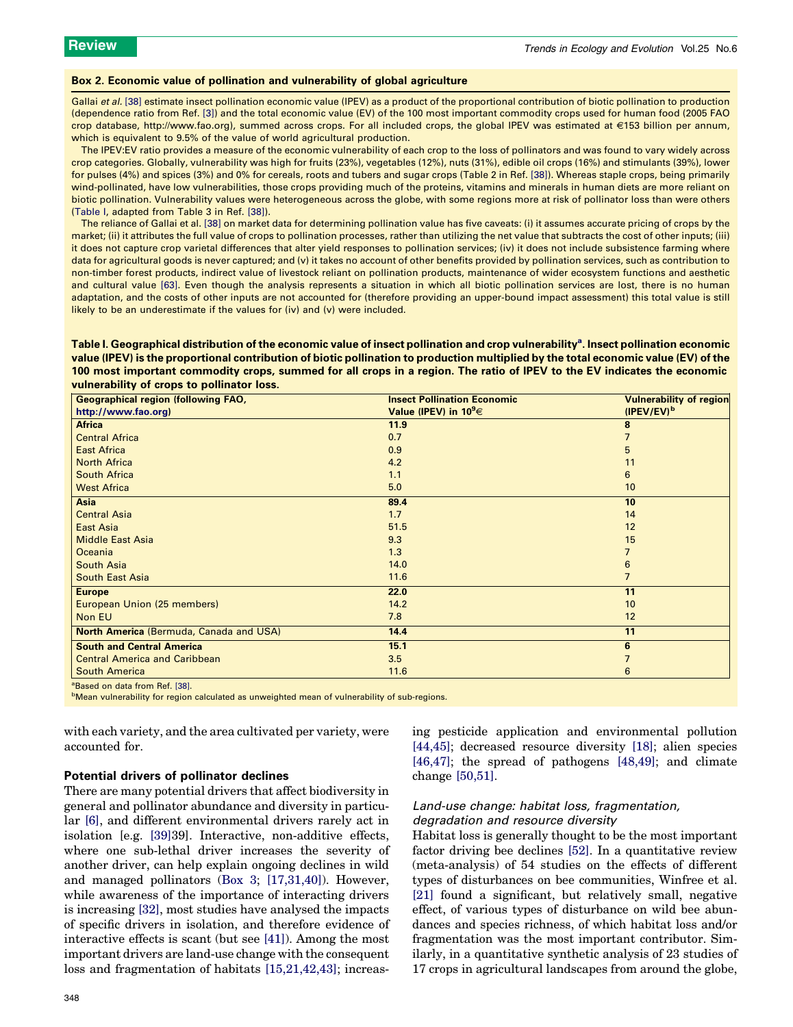#### Box 2. Economic value of pollination and vulnerability of global agriculture

Gallai et al. [38] estimate insect pollination economic value (IPEV) as a product of the proportional contribution of biotic pollination to production (dependence ratio from Ref. [3]) and the total economic value (EV) of the 100 most important commodity crops used for human food (2005 FAO crop database, http://www.fao.org), summed across crops. For all included crops, the global IPEV was estimated at  $\epsilon$ 153 billion per annum, which is equivalent to 9.5% of the value of world agricultural production.

The IPEV:EV ratio provides a measure of the economic vulnerability of each crop to the loss of pollinators and was found to vary widely across crop categories. Globally, vulnerability was high for fruits (23%), vegetables (12%), nuts (31%), edible oil crops (16%) and stimulants (39%), lower for pulses (4%) and spices (3%) and 0% for cereals, roots and tubers and sugar crops (Table 2 in Ref. [38]). Whereas staple crops, being primarily wind-pollinated, have low vulnerabilities, those crops providing much of the proteins, vitamins and minerals in human diets are more reliant on biotic pollination. Vulnerability values were heterogeneous across the globe, with some regions more at risk of pollinator loss than were others (Table I, adapted from Table 3 in Ref. [38]).

The reliance of Gallai et al. [38] on market data for determining pollination value has five caveats: (i) it assumes accurate pricing of crops by the market; (ii) it attributes the full value of crops to pollination processes, rather than utilizing the net value that subtracts the cost of other inputs; (iii) it does not capture crop varietal differences that alter yield responses to pollination services; (iv) it does not include subsistence farming where data for agricultural goods is never captured; and (v) it takes no account of other benefits provided by pollination services, such as contribution to non-timber forest products, indirect value of livestock reliant on pollination products, maintenance of wider ecosystem functions and aesthetic and cultural value [63]. Even though the analysis represents a situation in which all biotic pollination services are lost, there is no human adaptation, and the costs of other inputs are not accounted for (therefore providing an upper-bound impact assessment) this total value is still likely to be an underestimate if the values for (iv) and (v) were included.

# Table I. Geographical distribution of the economic value of insect pollination and crop vulnerability<sup>a</sup>. Insect pollination economic value (IPEV) is the proportional contribution of biotic pollination to production multiplied by the total economic value (EV) of the 100 most important commodity crops, summed for all crops in a region. The ratio of IPEV to the EV indicates the economic vulnerability of crops to pollinator loss.

| <b>Geographical region (following FAO,</b> | <b>Insect Pollination Economic</b> | <b>Vulnerability of region</b> |  |
|--------------------------------------------|------------------------------------|--------------------------------|--|
| http://www.fao.org)                        | Value (IPEV) in $10^9 \in$         | $(IPEV/EV)^b$                  |  |
| <b>Africa</b>                              | 11.9                               | 8                              |  |
| <b>Central Africa</b>                      | 0.7                                |                                |  |
| <b>East Africa</b>                         | 0.9                                |                                |  |
| <b>North Africa</b>                        | 4.2                                | 11                             |  |
| <b>South Africa</b>                        | 1.1                                | 6                              |  |
| <b>West Africa</b>                         | 5.0                                | 10                             |  |
| <b>Asia</b>                                | 89.4                               | 10                             |  |
| <b>Central Asia</b>                        | 1.7                                | 14                             |  |
| <b>East Asia</b>                           | 51.5                               | 12                             |  |
| <b>Middle East Asia</b>                    | 9.3                                | 15                             |  |
| Oceania                                    | 1.3                                |                                |  |
| South Asia                                 | 14.0                               | 6                              |  |
| <b>South East Asia</b>                     | 11.6                               |                                |  |
| <b>Europe</b>                              | 22.0                               | 11                             |  |
| European Union (25 members)                | 14.2                               | 10                             |  |
| Non EU                                     | 7.8                                | 12                             |  |
| North America (Bermuda, Canada and USA)    | 14.4                               | 11                             |  |
| <b>South and Central America</b>           | 15.1                               | 6                              |  |
| <b>Central America and Caribbean</b>       | 3.5                                |                                |  |
| <b>South America</b>                       | 11.6                               | 6                              |  |

<sup>a</sup>Based on data from Ref. [38].

<sup>b</sup>Mean vulnerability for region calculated as unweighted mean of vulnerability of sub-regions.

with each variety, and the area cultivated per variety, were accounted for.

### Potential drivers of pollinator declines

There are many potential drivers that affect biodiversity in general and pollinator abundance and diversity in particular [6], and different environmental drivers rarely act in isolation [e.g. [39]39]. Interactive, non-additive effects, where one sub-lethal driver increases the severity of another driver, can help explain ongoing declines in wild and managed pollinators (Box 3; [17,31,40]). However, while awareness of the importance of interacting drivers is increasing [32], most studies have analysed the impacts of specific drivers in isolation, and therefore evidence of interactive effects is scant (but see [41]). Among the most important drivers are land-use change with the consequent loss and fragmentation of habitats [15,21,42,43]; increasing pesticide application and environmental pollution [44,45]; decreased resource diversity [18]; alien species [46,47]; the spread of pathogens [48,49]; and climate change [50,51].

# Land-use change: habitat loss, fragmentation, degradation and resource diversity

Habitat loss is generally thought to be the most important factor driving bee declines [52]. In a quantitative review (meta-analysis) of 54 studies on the effects of different types of disturbances on bee communities, Winfree et al. [21] found a significant, but relatively small, negative effect, of various types of disturbance on wild bee abundances and species richness, of which habitat loss and/or fragmentation was the most important contributor. Similarly, in a quantitative synthetic analysis of 23 studies of 17 crops in agricultural landscapes from around the globe,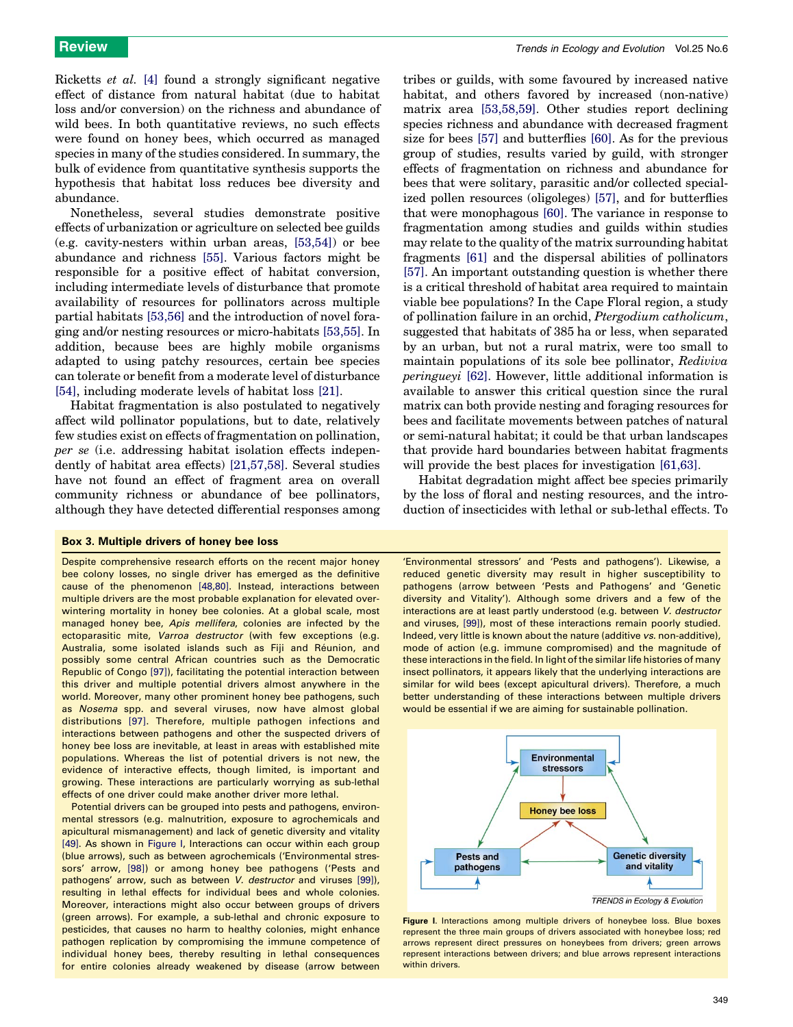Ricketts et al. [4] found a strongly significant negative effect of distance from natural habitat (due to habitat loss and/or conversion) on the richness and abundance of wild bees. In both quantitative reviews, no such effects were found on honey bees, which occurred as managed species in many of the studies considered. In summary, the bulk of evidence from quantitative synthesis supports the hypothesis that habitat loss reduces bee diversity and abundance.

Nonetheless, several studies demonstrate positive effects of urbanization or agriculture on selected bee guilds (e.g. cavity-nesters within urban areas, [53,54]) or bee abundance and richness [55]. Various factors might be responsible for a positive effect of habitat conversion, including intermediate levels of disturbance that promote availability of resources for pollinators across multiple partial habitats [53,56] and the introduction of novel foraging and/or nesting resources or micro-habitats [53,55]. In addition, because bees are highly mobile organisms adapted to using patchy resources, certain bee species can tolerate or benefit from a moderate level of disturbance [54], including moderate levels of habitat loss [21].

Habitat fragmentation is also postulated to negatively affect wild pollinator populations, but to date, relatively few studies exist on effects of fragmentation on pollination, per se (i.e. addressing habitat isolation effects independently of habitat area effects) [21,57,58]. Several studies have not found an effect of fragment area on overall community richness or abundance of bee pollinators, although they have detected differential responses among

### Box 3. Multiple drivers of honey bee loss

Despite comprehensive research efforts on the recent major honey bee colony losses, no single driver has emerged as the definitive cause of the phenomenon [48,80]. Instead, interactions between multiple drivers are the most probable explanation for elevated overwintering mortality in honey bee colonies. At a global scale, most managed honey bee, Apis mellifera, colonies are infected by the ectoparasitic mite, Varroa destructor (with few exceptions (e.g. Australia, some isolated islands such as Fiji and Réunion, and possibly some central African countries such as the Democratic Republic of Congo [97]), facilitating the potential interaction between this driver and multiple potential drivers almost anywhere in the world. Moreover, many other prominent honey bee pathogens, such as Nosema spp. and several viruses, now have almost global distributions [97]. Therefore, multiple pathogen infections and interactions between pathogens and other the suspected drivers of honey bee loss are inevitable, at least in areas with established mite populations. Whereas the list of potential drivers is not new, the evidence of interactive effects, though limited, is important and growing. These interactions are particularly worrying as sub-lethal effects of one driver could make another driver more lethal.

Potential drivers can be grouped into pests and pathogens, environmental stressors (e.g. malnutrition, exposure to agrochemicals and apicultural mismanagement) and lack of genetic diversity and vitality [49]. As shown in Figure I, Interactions can occur within each group (blue arrows), such as between agrochemicals ('Environmental stressors' arrow, [98]) or among honey bee pathogens ('Pests and pathogens' arrow, such as between V. destructor and viruses [99]), resulting in lethal effects for individual bees and whole colonies. Moreover, interactions might also occur between groups of drivers (green arrows). For example, a sub-lethal and chronic exposure to pesticides, that causes no harm to healthy colonies, might enhance pathogen replication by compromising the immune competence of individual honey bees, thereby resulting in lethal consequences for entire colonies already weakened by disease (arrow between

tribes or guilds, with some favoured by increased native habitat, and others favored by increased (non-native) matrix area [53,58,59]. Other studies report declining species richness and abundance with decreased fragment size for bees [57] and butterflies [60]. As for the previous group of studies, results varied by guild, with stronger effects of fragmentation on richness and abundance for bees that were solitary, parasitic and/or collected specialized pollen resources (oligoleges) [57], and for butterflies that were monophagous [60]. The variance in response to fragmentation among studies and guilds within studies may relate to the quality of the matrix surrounding habitat fragments [61] and the dispersal abilities of pollinators [57]. An important outstanding question is whether there is a critical threshold of habitat area required to maintain viable bee populations? In the Cape Floral region, a study of pollination failure in an orchid, Ptergodium catholicum, suggested that habitats of 385 ha or less, when separated by an urban, but not a rural matrix, were too small to maintain populations of its sole bee pollinator, Rediviva peringueyi [62]. However, little additional information is available to answer this critical question since the rural matrix can both provide nesting and foraging resources for bees and facilitate movements between patches of natural or semi-natural habitat; it could be that urban landscapes that provide hard boundaries between habitat fragments will provide the best places for investigation [61,63].

Habitat degradation might affect bee species primarily by the loss of floral and nesting resources, and the introduction of insecticides with lethal or sub-lethal effects. To

'Environmental stressors' and 'Pests and pathogens'). Likewise, a reduced genetic diversity may result in higher susceptibility to pathogens (arrow between 'Pests and Pathogens' and 'Genetic diversity and Vitality'). Although some drivers and a few of the interactions are at least partly understood (e.g. between V. destructor and viruses, [99]), most of these interactions remain poorly studied. Indeed, very little is known about the nature (additive vs. non-additive), mode of action (e.g. immune compromised) and the magnitude of these interactions in the field. In light of the similar life histories of many insect pollinators, it appears likely that the underlying interactions are similar for wild bees (except apicultural drivers). Therefore, a much better understanding of these interactions between multiple drivers would be essential if we are aiming for sustainable pollination.



Figure I. Interactions among multiple drivers of honeybee loss. Blue boxes represent the three main groups of drivers associated with honeybee loss; red arrows represent direct pressures on honeybees from drivers; green arrows represent interactions between drivers; and blue arrows represent interactions within drivers.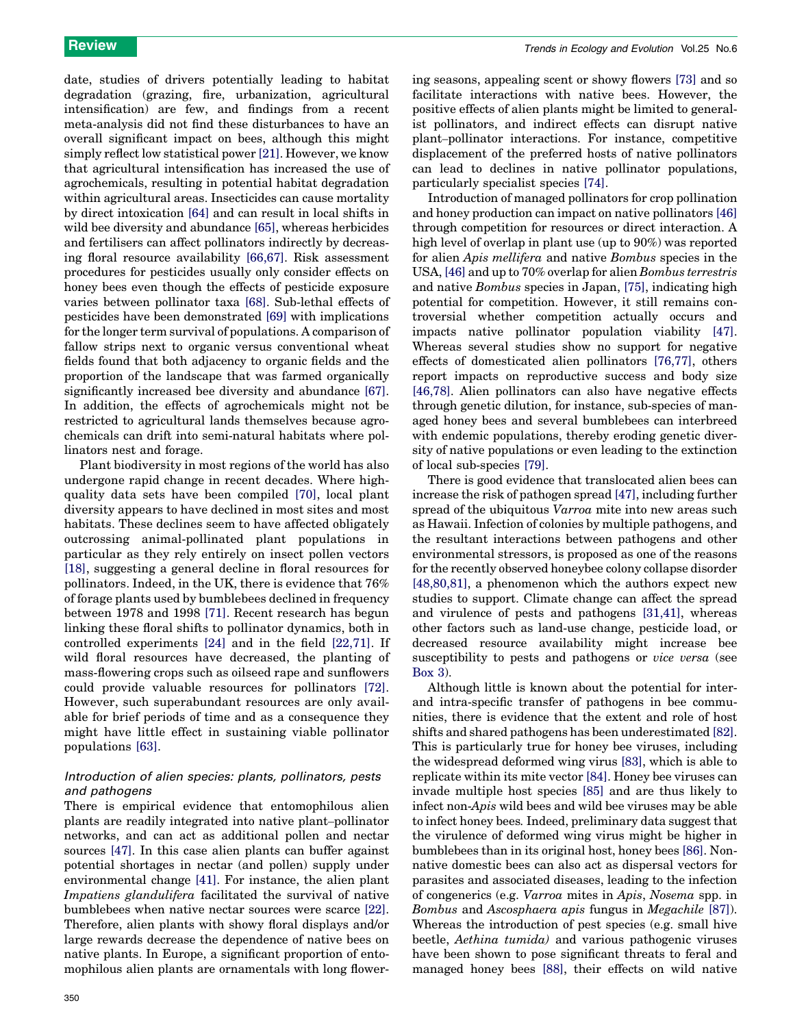date, studies of drivers potentially leading to habitat degradation (grazing, fire, urbanization, agricultural intensification) are few, and findings from a recent meta-analysis did not find these disturbances to have an overall significant impact on bees, although this might simply reflect low statistical power [21]. However, we know that agricultural intensification has increased the use of agrochemicals, resulting in potential habitat degradation within agricultural areas. Insecticides can cause mortality by direct intoxication [64] and can result in local shifts in wild bee diversity and abundance [65], whereas herbicides and fertilisers can affect pollinators indirectly by decreasing floral resource availability [66,67]. Risk assessment procedures for pesticides usually only consider effects on honey bees even though the effects of pesticide exposure varies between pollinator taxa [68]. Sub-lethal effects of pesticides have been demonstrated [69] with implications for the longer term survival of populations. A comparison of fallow strips next to organic versus conventional wheat fields found that both adjacency to organic fields and the proportion of the landscape that was farmed organically significantly increased bee diversity and abundance [67]. In addition, the effects of agrochemicals might not be restricted to agricultural lands themselves because agrochemicals can drift into semi-natural habitats where pollinators nest and forage.

Plant biodiversity in most regions of the world has also undergone rapid change in recent decades. Where highquality data sets have been compiled [70], local plant diversity appears to have declined in most sites and most habitats. These declines seem to have affected obligately outcrossing animal-pollinated plant populations in particular as they rely entirely on insect pollen vectors [18], suggesting a general decline in floral resources for pollinators. Indeed, in the UK, there is evidence that 76% of forage plants used by bumblebees declined in frequency between 1978 and 1998 [71]. Recent research has begun linking these floral shifts to pollinator dynamics, both in controlled experiments [24] and in the field [22,71]. If wild floral resources have decreased, the planting of mass-flowering crops such as oilseed rape and sunflowers could provide valuable resources for pollinators [72]. However, such superabundant resources are only available for brief periods of time and as a consequence they might have little effect in sustaining viable pollinator populations [63].

# Introduction of alien species: plants, pollinators, pests and pathogens

There is empirical evidence that entomophilous alien plants are readily integrated into native plant–pollinator networks, and can act as additional pollen and nectar sources [47]. In this case alien plants can buffer against potential shortages in nectar (and pollen) supply under environmental change [41]. For instance, the alien plant Impatiens glandulifera facilitated the survival of native bumblebees when native nectar sources were scarce [22]. Therefore, alien plants with showy floral displays and/or large rewards decrease the dependence of native bees on native plants. In Europe, a significant proportion of entomophilous alien plants are ornamentals with long flowering seasons, appealing scent or showy flowers [73] and so facilitate interactions with native bees. However, the positive effects of alien plants might be limited to generalist pollinators, and indirect effects can disrupt native plant–pollinator interactions. For instance, competitive displacement of the preferred hosts of native pollinators can lead to declines in native pollinator populations, particularly specialist species [74].

Introduction of managed pollinators for crop pollination and honey production can impact on native pollinators [46] through competition for resources or direct interaction. A high level of overlap in plant use (up to 90%) was reported for alien Apis mellifera and native Bombus species in the USA, [46] and up to 70% overlap for alien Bombus terrestris and native Bombus species in Japan, [75], indicating high potential for competition. However, it still remains controversial whether competition actually occurs and impacts native pollinator population viability [47]. Whereas several studies show no support for negative effects of domesticated alien pollinators [76,77], others report impacts on reproductive success and body size [46,78]. Alien pollinators can also have negative effects through genetic dilution, for instance, sub-species of managed honey bees and several bumblebees can interbreed with endemic populations, thereby eroding genetic diversity of native populations or even leading to the extinction of local sub-species [79].

There is good evidence that translocated alien bees can increase the risk of pathogen spread [47], including further spread of the ubiquitous Varroa mite into new areas such as Hawaii. Infection of colonies by multiple pathogens, and the resultant interactions between pathogens and other environmental stressors, is proposed as one of the reasons for the recently observed honeybee colony collapse disorder [48,80,81], a phenomenon which the authors expect new studies to support. Climate change can affect the spread and virulence of pests and pathogens [31,41], whereas other factors such as land-use change, pesticide load, or decreased resource availability might increase bee susceptibility to pests and pathogens or *vice versa* (see Box 3).

Although little is known about the potential for interand intra-specific transfer of pathogens in bee communities, there is evidence that the extent and role of host shifts and shared pathogens has been underestimated [82]. This is particularly true for honey bee viruses, including the widespread deformed wing virus [83], which is able to replicate within its mite vector [84]. Honey bee viruses can invade multiple host species [85] and are thus likely to infect non-Apis wild bees and wild bee viruses may be able to infect honey bees. Indeed, preliminary data suggest that the virulence of deformed wing virus might be higher in bumblebees than in its original host, honey bees [86]. Nonnative domestic bees can also act as dispersal vectors for parasites and associated diseases, leading to the infection of congenerics (e.g. Varroa mites in Apis, Nosema spp. in Bombus and Ascosphaera apis fungus in Megachile [87]). Whereas the introduction of pest species (e.g. small hive beetle, Aethina tumida) and various pathogenic viruses have been shown to pose significant threats to feral and managed honey bees [88], their effects on wild native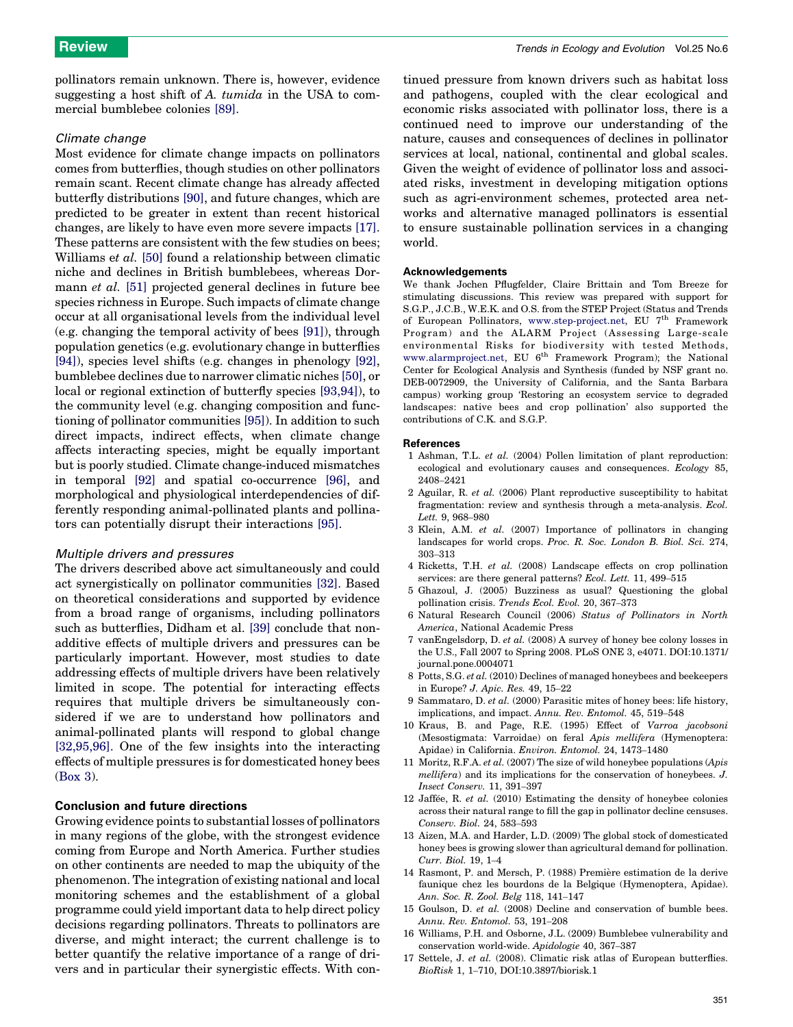pollinators remain unknown. There is, however, evidence suggesting a host shift of A. tumida in the USA to commercial bumblebee colonies [89].

## Climate change

Most evidence for climate change impacts on pollinators comes from butterflies, though studies on other pollinators remain scant. Recent climate change has already affected butterfly distributions [90], and future changes, which are predicted to be greater in extent than recent historical changes, are likely to have even more severe impacts [17]. These patterns are consistent with the few studies on bees; Williams et al. [50] found a relationship between climatic niche and declines in British bumblebees, whereas Dormann *et al.* [51] projected general declines in future bee species richness in Europe. Such impacts of climate change occur at all organisational levels from the individual level (e.g. changing the temporal activity of bees [91]), through population genetics (e.g. evolutionary change in butterflies [94]), species level shifts (e.g. changes in phenology [92], bumblebee declines due to narrower climatic niches [50], or local or regional extinction of butterfly species [93,94]), to the community level (e.g. changing composition and functioning of pollinator communities [95]). In addition to such direct impacts, indirect effects, when climate change affects interacting species, might be equally important but is poorly studied. Climate change-induced mismatches in temporal [92] and spatial co-occurrence [96], and morphological and physiological interdependencies of differently responding animal-pollinated plants and pollinators can potentially disrupt their interactions [95].

## Multiple drivers and pressures

The drivers described above act simultaneously and could act synergistically on pollinator communities [32]. Based on theoretical considerations and supported by evidence from a broad range of organisms, including pollinators such as butterflies, Didham et al. [39] conclude that nonadditive effects of multiple drivers and pressures can be particularly important. However, most studies to date addressing effects of multiple drivers have been relatively limited in scope. The potential for interacting effects requires that multiple drivers be simultaneously considered if we are to understand how pollinators and animal-pollinated plants will respond to global change [32,95,96]. One of the few insights into the interacting effects of multiple pressures is for domesticated honey bees (Box 3).

# Conclusion and future directions

Growing evidence points to substantial losses of pollinators in many regions of the globe, with the strongest evidence coming from Europe and North America. Further studies on other continents are needed to map the ubiquity of the phenomenon. The integration of existing national and local monitoring schemes and the establishment of a global programme could yield important data to help direct policy decisions regarding pollinators. Threats to pollinators are diverse, and might interact; the current challenge is to better quantify the relative importance of a range of drivers and in particular their synergistic effects. With con-

tinued pressure from known drivers such as habitat loss and pathogens, coupled with the clear ecological and economic risks associated with pollinator loss, there is a continued need to improve our understanding of the nature, causes and consequences of declines in pollinator services at local, national, continental and global scales. Given the weight of evidence of pollinator loss and associated risks, investment in developing mitigation options such as agri-environment schemes, protected area networks and alternative managed pollinators is essential to ensure sustainable pollination services in a changing world.

#### Acknowledgements

We thank Jochen Pflugfelder, Claire Brittain and Tom Breeze for stimulating discussions. This review was prepared with support for S.G.P., J.C.B., W.E.K. and O.S. from the STEP Project (Status and Trends of European Pollinators, [www.step-project.net,](http://www.step-project.net/) EU  $7^{\text{th}}$  Framework Program) and the ALARM Project (Assessing Large-scale environmental Risks for biodiversity with tested Methods, [www.alarmproject.net,](http://www.alarmproject.net/) EU 6<sup>th</sup> Framework Program); the National Center for Ecological Analysis and Synthesis (funded by NSF grant no. DEB-0072909, the University of California, and the Santa Barbara campus) working group 'Restoring an ecosystem service to degraded landscapes: native bees and crop pollination' also supported the contributions of C.K. and S.G.P.

#### References

- 1 Ashman, T.L. et al. (2004) Pollen limitation of plant reproduction: ecological and evolutionary causes and consequences. Ecology 85, 2408–2421
- 2 Aguilar, R. et al. (2006) Plant reproductive susceptibility to habitat fragmentation: review and synthesis through a meta-analysis. Ecol. Lett. 9, 968–980
- 3 Klein, A.M. et al. (2007) Importance of pollinators in changing landscapes for world crops. Proc. R. Soc. London B. Biol. Sci. 274, 303–313
- 4 Ricketts, T.H. et al. (2008) Landscape effects on crop pollination services: are there general patterns? Ecol. Lett. 11, 499–515
- 5 Ghazoul, J. (2005) Buzziness as usual? Questioning the global pollination crisis. Trends Ecol. Evol. 20, 367–373
- 6 Natural Research Council (2006) Status of Pollinators in North America, National Academic Press
- 7 vanEngelsdorp, D. et al. (2008) A survey of honey bee colony losses in the U.S., Fall 2007 to Spring 2008. PLoS ONE 3, e4071. DOI:10.1371/ journal.pone.0004071
- 8 Potts, S.G. et al. (2010) Declines of managed honeybees and beekeepers in Europe? J. Apic. Res. 49, 15–22
- 9 Sammataro, D. et al. (2000) Parasitic mites of honey bees: life history, implications, and impact. Annu. Rev. Entomol. 45, 519–548
- 10 Kraus, B. and Page, R.E. (1995) Effect of Varroa jacobsoni (Mesostigmata: Varroidae) on feral Apis mellifera (Hymenoptera: Apidae) in California. Environ. Entomol. 24, 1473–1480
- 11 Moritz, R.F.A. et al. (2007) The size of wild honeybee populations (Apis mellifera) and its implications for the conservation of honeybees. J. Insect Conserv. 11, 391–397
- 12 Jaffée, R. et al.  $(2010)$  Estimating the density of honeybee colonies across their natural range to fill the gap in pollinator decline censuses. Conserv. Biol. 24, 583–593
- 13 Aizen, M.A. and Harder, L.D. (2009) The global stock of domesticated honey bees is growing slower than agricultural demand for pollination. Curr. Biol. 19, 1–4
- 14 Rasmont, P. and Mersch, P. (1988) Première estimation de la derive faunique chez les bourdons de la Belgique (Hymenoptera, Apidae). Ann. Soc. R. Zool. Belg 118, 141–147
- 15 Goulson, D. et al. (2008) Decline and conservation of bumble bees. Annu. Rev. Entomol. 53, 191–208
- 16 Williams, P.H. and Osborne, J.L. (2009) Bumblebee vulnerability and conservation world-wide. Apidologie 40, 367–387
- 17 Settele, J. et al. (2008). Climatic risk atlas of European butterflies. BioRisk 1, 1–710, DOI:10.3897/biorisk.1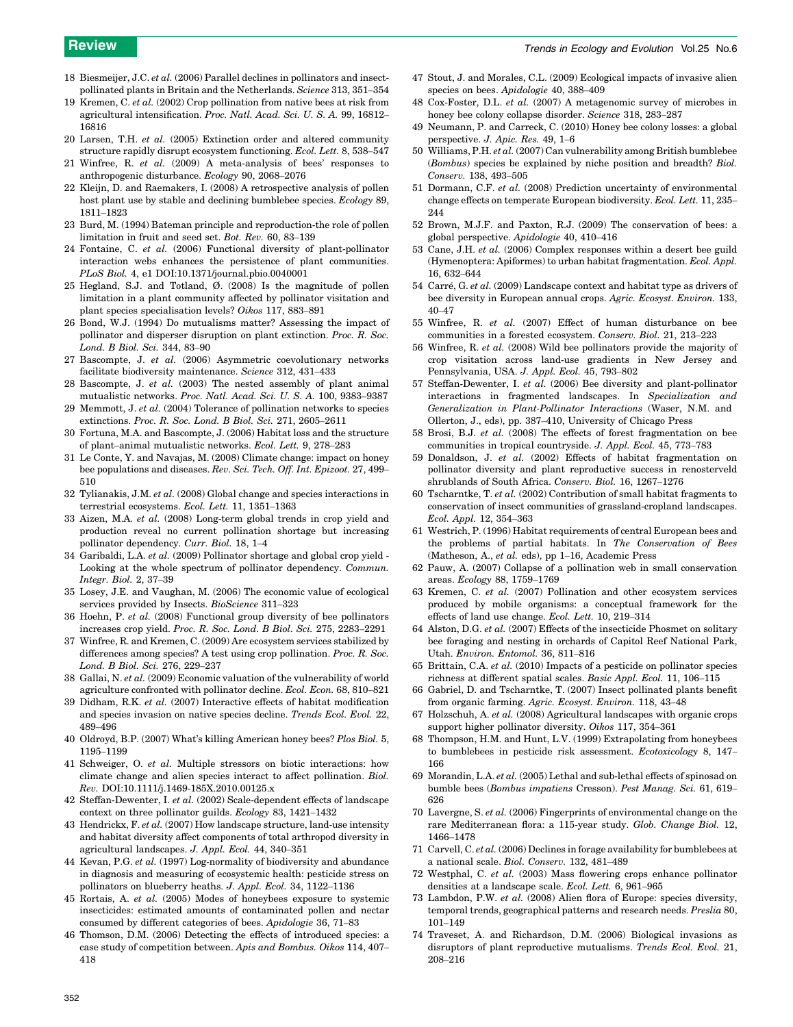- 18 Biesmeijer, J.C. et al. (2006) Parallel declines in pollinators and insectpollinated plants in Britain and the Netherlands. Science 313, 351–354
- 19 Kremen, C. et al. (2002) Crop pollination from native bees at risk from agricultural intensification. Proc. Natl. Acad. Sci. U. S. A. 99, 16812– 16816
- 20 Larsen, T.H. et al. (2005) Extinction order and altered community structure rapidly disrupt ecosystem functioning. Ecol. Lett. 8, 538–547
- 21 Winfree, R. et al. (2009) A meta-analysis of bees' responses to anthropogenic disturbance. Ecology 90, 2068–2076
- 22 Kleijn, D. and Raemakers, I. (2008) A retrospective analysis of pollen host plant use by stable and declining bumblebee species. Ecology 89, 1811–1823
- 23 Burd, M. (1994) Bateman principle and reproduction-the role of pollen limitation in fruit and seed set. Bot. Rev. 60, 83-139
- 24 Fontaine, C. et al. (2006) Functional diversity of plant-pollinator interaction webs enhances the persistence of plant communities. PLoS Biol. 4, e1 DOI:10.1371/journal.pbio.0040001
- 25 Hegland, S.J. and Totland, Ø. (2008) Is the magnitude of pollen limitation in a plant community affected by pollinator visitation and plant species specialisation levels? Oikos 117, 883–891
- 26 Bond, W.J. (1994) Do mutualisms matter? Assessing the impact of pollinator and disperser disruption on plant extinction. Proc. R. Soc. Lond. B Biol. Sci. 344, 83–90
- 27 Bascompte, J. et al. (2006) Asymmetric coevolutionary networks facilitate biodiversity maintenance. Science 312, 431–433
- 28 Bascompte, J. et al. (2003) The nested assembly of plant animal mutualistic networks. Proc. Natl. Acad. Sci. U. S. A. 100, 9383–9387
- 29 Memmott, J. et al. (2004) Tolerance of pollination networks to species extinctions. Proc. R. Soc. Lond. B Biol. Sci. 271, 2605–2611
- 30 Fortuna, M.A. and Bascompte, J. (2006) Habitat loss and the structure of plant–animal mutualistic networks. Ecol. Lett. 9, 278–283
- 31 Le Conte, Y. and Navajas, M. (2008) Climate change: impact on honey bee populations and diseases. Rev. Sci. Tech. Off. Int. Epizoot. 27, 499– 510
- 32 Tylianakis, J.M. et al. (2008) Global change and species interactions in terrestrial ecosystems. Ecol. Lett. 11, 1351–1363
- 33 Aizen, M.A. et al. (2008) Long-term global trends in crop yield and production reveal no current pollination shortage but increasing pollinator dependency. Curr. Biol. 18, 1–4
- 34 Garibaldi, L.A. et al. (2009) Pollinator shortage and global crop yield Looking at the whole spectrum of pollinator dependency. Commun. Integr. Biol. 2, 37–39
- 35 Losey, J.E. and Vaughan, M. (2006) The economic value of ecological services provided by Insects. BioScience 311–323
- 36 Hoehn, P. et al. (2008) Functional group diversity of bee pollinators increases crop yield. Proc. R. Soc. Lond. B Biol. Sci. 275, 2283–2291
- 37 Winfree, R. and Kremen, C. (2009) Are ecosystem services stabilized by differences among species? A test using crop pollination. Proc. R. Soc. Lond. B Biol. Sci. 276, 229–237
- 38 Gallai, N. et al. (2009) Economic valuation of the vulnerability of world agriculture confronted with pollinator decline. Ecol. Econ. 68, 810–821
- 39 Didham, R.K. et al. (2007) Interactive effects of habitat modification and species invasion on native species decline. Trends Ecol. Evol. 22, 489–496
- 40 Oldroyd, B.P. (2007) What's killing American honey bees? Plos Biol. 5, 1195–1199
- 41 Schweiger, O. et al. Multiple stressors on biotic interactions: how climate change and alien species interact to affect pollination. Biol. Rev. DOI:10.1111/j.1469-185X.2010.00125.x
- 42 Steffan-Dewenter, I. et al. (2002) Scale-dependent effects of landscape context on three pollinator guilds. Ecology 83, 1421–1432
- 43 Hendrickx, F. et al. (2007) How landscape structure, land-use intensity and habitat diversity affect components of total arthropod diversity in agricultural landscapes. J. Appl. Ecol. 44, 340–351
- 44 Kevan, P.G. et al. (1997) Log-normality of biodiversity and abundance in diagnosis and measuring of ecosystemic health: pesticide stress on pollinators on blueberry heaths. J. Appl. Ecol. 34, 1122–1136
- 45 Rortais, A. et al. (2005) Modes of honeybees exposure to systemic insecticides: estimated amounts of contaminated pollen and nectar consumed by different categories of bees. Apidologie 36, 71–83
- 46 Thomson, D.M. (2006) Detecting the effects of introduced species: a case study of competition between. Apis and Bombus. Oikos 114, 407– 418
- 47 Stout, J. and Morales, C.L. (2009) Ecological impacts of invasive alien species on bees. Apidologie 40, 388–409
- 48 Cox-Foster, D.L. et al. (2007) A metagenomic survey of microbes in honey bee colony collapse disorder. Science 318, 283–287
- 49 Neumann, P. and Carreck, C. (2010) Honey bee colony losses: a global perspective. J. Apic. Res. 49, 1–6
- 50 Williams, P.H. et al. (2007) Can vulnerability among British bumblebee (Bombus) species be explained by niche position and breadth? Biol. Conserv. 138, 493–505
- 51 Dormann, C.F. et al. (2008) Prediction uncertainty of environmental change effects on temperate European biodiversity. Ecol. Lett. 11, 235– 244
- 52 Brown, M.J.F. and Paxton, R.J. (2009) The conservation of bees: a global perspective. Apidologie 40, 410–416
- 53 Cane, J.H. et al. (2006) Complex responses within a desert bee guild (Hymenoptera: Apiformes) to urban habitat fragmentation. Ecol. Appl. 16, 632–644
- 54 Carré, G. et al. (2009) Landscape context and habitat type as drivers of bee diversity in European annual crops. Agric. Ecosyst. Environ. 133, 40–47
- 55 Winfree, R. et al. (2007) Effect of human disturbance on bee communities in a forested ecosystem. Conserv. Biol. 21, 213–223
- 56 Winfree, R. et al. (2008) Wild bee pollinators provide the majority of crop visitation across land-use gradients in New Jersey and Pennsylvania, USA. J. Appl. Ecol. 45, 793–802
- 57 Steffan-Dewenter, I. et al. (2006) Bee diversity and plant-pollinator interactions in fragmented landscapes. In Specialization and Generalization in Plant-Pollinator Interactions (Waser, N.M. and Ollerton, J., eds), pp. 387–410, University of Chicago Press
- 58 Brosi, B.J. et al. (2008) The effects of forest fragmentation on bee communities in tropical countryside. J. Appl. Ecol. 45, 773–783
- 59 Donaldson, J. et al. (2002) Effects of habitat fragmentation on pollinator diversity and plant reproductive success in renosterveld shrublands of South Africa. Conserv. Biol. 16, 1267–1276
- 60 Tscharntke, T. et al. (2002) Contribution of small habitat fragments to conservation of insect communities of grassland-cropland landscapes. Ecol. Appl. 12, 354–363
- 61 Westrich, P. (1996) Habitat requirements of central European bees and the problems of partial habitats. In The Conservation of Bees (Matheson, A., et al. eds), pp 1–16, Academic Press
- 62 Pauw, A. (2007) Collapse of a pollination web in small conservation areas. Ecology 88, 1759–1769
- 63 Kremen, C. et al. (2007) Pollination and other ecosystem services produced by mobile organisms: a conceptual framework for the effects of land use change. Ecol. Lett. 10, 219–314
- 64 Alston, D.G. et al. (2007) Effects of the insecticide Phosmet on solitary bee foraging and nesting in orchards of Capitol Reef National Park, Utah. Environ. Entomol. 36, 811–816
- 65 Brittain, C.A. et al. (2010) Impacts of a pesticide on pollinator species richness at different spatial scales. Basic Appl. Ecol. 11, 106–115
- 66 Gabriel, D. and Tscharntke, T. (2007) Insect pollinated plants benefit from organic farming. Agric. Ecosyst. Environ. 118, 43–48
- 67 Holzschuh, A. et al. (2008) Agricultural landscapes with organic crops support higher pollinator diversity. Oikos 117, 354–361
- 68 Thompson, H.M. and Hunt, L.V. (1999) Extrapolating from honeybees to bumblebees in pesticide risk assessment. Ecotoxicology 8, 147– 166
- 69 Morandin, L.A. et al. (2005) Lethal and sub-lethal effects of spinosad on bumble bees (Bombus impatiens Cresson). Pest Manag. Sci. 61, 619– 626
- 70 Lavergne, S. et al. (2006) Fingerprints of environmental change on the rare Mediterranean flora: a 115-year study. Glob. Change Biol. 12, 1466–1478
- 71 Carvell, C. et al. (2006) Declines in forage availability for bumblebees at a national scale. Biol. Conserv. 132, 481–489
- 72 Westphal, C. et al. (2003) Mass flowering crops enhance pollinator densities at a landscape scale. Ecol. Lett. 6, 961–965
- 73 Lambdon, P.W. et al. (2008) Alien flora of Europe: species diversity, temporal trends, geographical patterns and research needs. Preslia 80, 101–149
- 74 Traveset, A. and Richardson, D.M. (2006) Biological invasions as disruptors of plant reproductive mutualisms. Trends Ecol. Evol. 21, 208–216